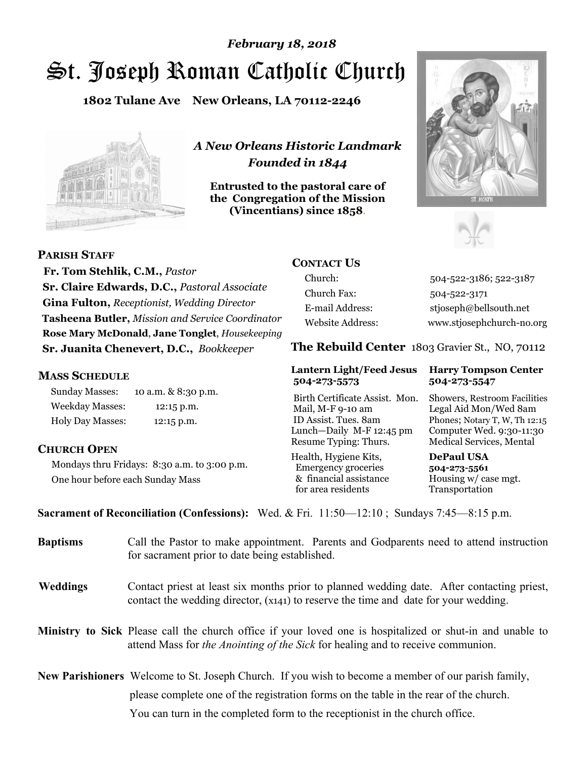# St. Joseph Roman Catholic Church *February 18, 2018*

**1802 Tulane Ave New Orleans, LA 70112-2246**



*A New Orleans Historic Landmark Founded in 1844* 

**Entrusted to the pastoral care of the Congregation of the Mission (Vincentians) since 1858**.





 **Fr. Tom Stehlik, C.M.,** *Pastor* 

# **CONTACT US**

Church: 504-522-3186; 522-3187 Church Fax: 504-522-3171 E-mail Address: stjoseph@bellsouth.net Website Address: www.stjosephchurch-no.org

**The Rebuild Center** 1803 Gravier St., NO, 70112

### **Lantern Light/Feed Jesus Harry Tompson Center 504-273-5573 504-273-5547**

Birth Certificate Assist. Mon. Showers, Restroom Facilities Mail, M-F 9-10 am Legal Aid Mon/Wed 8am ID Assist. Tues. 8am Phones; Notary T, W, Th 12:15 Lunch—Daily M-F 12:45 pm Computer Wed. 9:30-11:30 Resume Typing: Thurs. Medical Services, Mental

Health, Hygiene Kits, **DePaul USA**  Emergency groceries **504-273-5561** & financial assistance Housing w/ case mgt. for area residents Transportation

**Sacrament of Reconciliation (Confessions):** Wed. & Fri. 11:50—12:10 ; Sundays 7:45—8:15 p.m.

| <b>Baptisms</b> | Call the Pastor to make appointment. Parents and Godparents need to attend instruction<br>for sacrament prior to date being established.                                                            |  |
|-----------------|-----------------------------------------------------------------------------------------------------------------------------------------------------------------------------------------------------|--|
| <b>Weddings</b> | Contact priest at least six months prior to planned wedding date. After contacting priest,<br>contact the wedding director, (x141) to reserve the time and date for your wedding.                   |  |
|                 | <b>Ministry to Sick</b> Please call the church office if your loved one is hospitalized or shut-in and unable to<br>attend Mass for the Anointing of the Sick for healing and to receive communion. |  |
|                 | <b>New Parishioners</b> Welcome to St. Joseph Church. If you wish to become a member of our parish family,                                                                                          |  |
|                 | please complete one of the registration forms on the table in the rear of the church.                                                                                                               |  |
|                 | You can turn in the completed form to the reception is the church office.                                                                                                                           |  |

# **PARISH STAFF**

**Sr. Claire Edwards, D.C.,** *Pastoral Associate* **Gina Fulton,** *Receptionist, Wedding Director* **Tasheena Butler,** *Mission and Service Coordinator* **Rose Mary McDonald**, **Jane Tonglet**, *Housekeeping* **Sr. Juanita Chenevert, D.C.,** *Bookkeeper* 

### **MASS SCHEDULE**

Sunday Masses: 10 a.m. & 8:30 p.m. Weekday Masses: 12:15 p.m. Holy Day Masses: 12:15 p.m.

## **CHURCH OPEN**

Mondays thru Fridays: 8:30 a.m. to 3:00 p.m. One hour before each Sunday Mass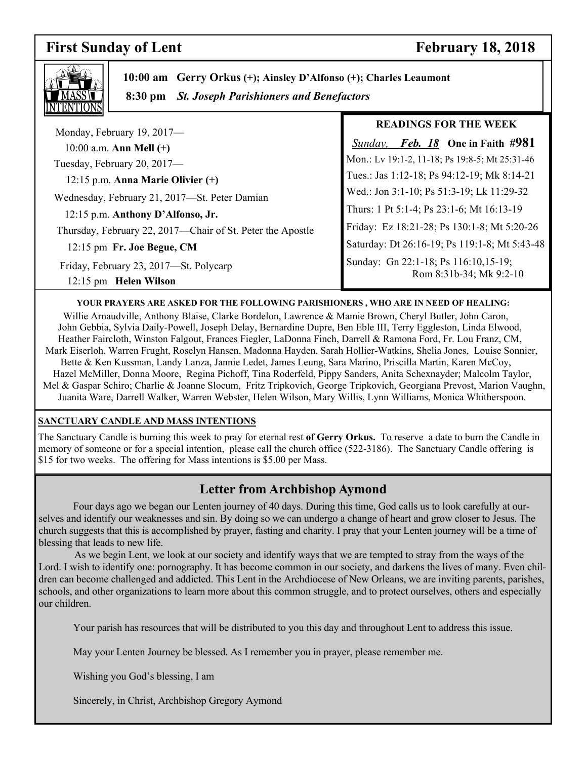# **First Sunday of Lent** February 18, 2018

٦



 **10:00 am Gerry Orkus (+); Ainsley D'Alfonso (+); Charles Leaumont**

 **8:30 pm** *St. Joseph Parishioners and Benefactors*

|                                                                 | <b>READINGS FOR THE WEEK</b>                                    |
|-----------------------------------------------------------------|-----------------------------------------------------------------|
| Monday, February 19, 2017-<br>10:00 a.m. Ann Mell $(+)$         | <i>Feb. 18</i> One in Faith #981<br>Sunday,                     |
| Tuesday, February 20, 2017-                                     | Mon.: Lv 19:1-2, 11-18; Ps 19:8-5; Mt 25:31-46                  |
| 12:15 p.m. Anna Marie Olivier $(+)$                             | Tues.: Jas 1:12-18; Ps 94:12-19; Mk 8:14-21                     |
| Wednesday, February 21, 2017-St. Peter Damian                   | Wed.: Jon 3:1-10; Ps 51:3-19; Lk 11:29-32                       |
| 12:15 p.m. Anthony D'Alfonso, Jr.                               | Thurs: 1 Pt 5:1-4; Ps 23:1-6; Mt 16:13-19                       |
| Thursday, February 22, 2017—Chair of St. Peter the Apostle      | Friday: Ez 18:21-28; Ps 130:1-8; Mt 5:20-26                     |
| 12:15 pm Fr. Joe Begue, CM                                      | Saturday: Dt 26:16-19; Ps 119:1-8; Mt 5:43-48                   |
| Friday, February 23, 2017-St. Polycarp<br>12:15 pm Helen Wilson | Sunday: Gn 22:1-18; Ps 116:10,15-19;<br>Rom 8:31b-34; Mk 9:2-10 |

### **YOUR PRAYERS ARE ASKED FOR THE FOLLOWING PARISHIONERS , WHO ARE IN NEED OF HEALING:**

Willie Arnaudville, Anthony Blaise, Clarke Bordelon, Lawrence & Mamie Brown, Cheryl Butler, John Caron, John Gebbia, Sylvia Daily-Powell, Joseph Delay, Bernardine Dupre, Ben Eble III, Terry Eggleston, Linda Elwood, Heather Faircloth, Winston Falgout, Frances Fiegler, LaDonna Finch, Darrell & Ramona Ford, Fr. Lou Franz, CM, Mark Eiserloh, Warren Frught, Roselyn Hansen, Madonna Hayden, Sarah Hollier-Watkins, Shelia Jones, Louise Sonnier, Bette & Ken Kussman, Landy Lanza, Jannie Ledet, James Leung, Sara Marino, Priscilla Martin, Karen McCoy, Hazel McMiller, Donna Moore, Regina Pichoff, Tina Roderfeld, Pippy Sanders, Anita Schexnayder; Malcolm Taylor, Mel & Gaspar Schiro; Charlie & Joanne Slocum, Fritz Tripkovich, George Tripkovich, Georgiana Prevost, Marion Vaughn, Juanita Ware, Darrell Walker, Warren Webster, Helen Wilson, Mary Willis, Lynn Williams, Monica Whitherspoon.

### **SANCTUARY CANDLE AND MASS INTENTIONS**

The Sanctuary Candle is burning this week to pray for eternal rest **of Gerry Orkus.** To reserve a date to burn the Candle in memory of someone or for a special intention, please call the church office (522-3186). The Sanctuary Candle offering is \$15 for two weeks. The offering for Mass intentions is \$5.00 per Mass.

# **Letter from Archbishop Aymond**

 Four days ago we began our Lenten journey of 40 days. During this time, God calls us to look carefully at ourselves and identify our weaknesses and sin. By doing so we can undergo a change of heart and grow closer to Jesus. The church suggests that this is accomplished by prayer, fasting and charity. I pray that your Lenten journey will be a time of blessing that leads to new life.

 As we begin Lent, we look at our society and identify ways that we are tempted to stray from the ways of the Lord. I wish to identify one: pornography. It has become common in our society, and darkens the lives of many. Even children can become challenged and addicted. This Lent in the Archdiocese of New Orleans, we are inviting parents, parishes, schools, and other organizations to learn more about this common struggle, and to protect ourselves, others and especially our children.

Your parish has resources that will be distributed to you this day and throughout Lent to address this issue.

May your Lenten Journey be blessed. As I remember you in prayer, please remember me.

Wishing you God's blessing, I am

Sincerely, in Christ, Archbishop Gregory Aymond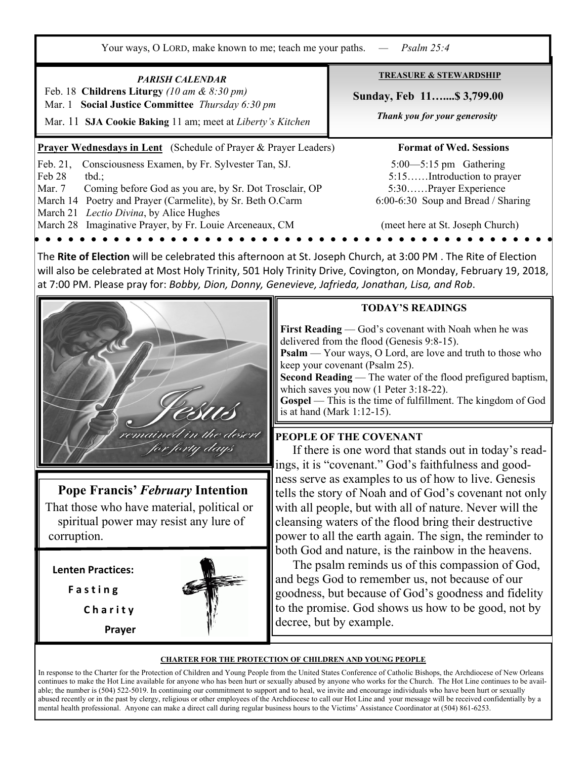**Prayer Wednesdays in Lent** (Schedule of Prayer & Prayer Leaders) **Format of Wed. Sessions** Feb. 21, Consciousness Examen, by Fr. Sylvester Tan, SJ. 5:00—5:15 pm Gathering Feb 28 tbd.; 5:15......Introduction to prayer Mar. 7 Coming before God as you are, by Sr. Dot Trosclair, OP 5:30……Prayer Experience March 14 Poetry and Prayer (Carmelite), by Sr. Beth O.Carm 6:00-6:30 Soup and Bread / Sharing March 21 *Lectio Divina*, by Alice Hughes March 28 Imaginative Prayer, by Fr. Louie Arceneaux, CM (meet here at St. Joseph Church) **TREASURE & STEWARDSHIP Sunday, Feb 11…....\$ 3,799.00**   *Thank you for your generosity*  Your ways, O LORD, make known to me; teach me your paths. *— Psalm 25:4 PARISH CALENDAR*  Feb. 18 **Childrens Liturgy** *(10 am & 8:30 pm)*  Mar. 1 **Social Justice Committee** *Thursday 6:30 pm*  Mar. 11 **SJA Cookie Baking** 11 am; meet at *Liberty's Kitchen*

The **Rite of Election** will be celebrated this afternoon at St. Joseph Church, at 3:00 PM . The Rite of Election will also be celebrated at Most Holy Trinity, 501 Holy Trinity Drive, Covington, on Monday, February 19, 2018, at 7:00 PM. Please pray for: *Bobby, Dion, Donny, Genevieve, Jafrieda, Jonathan, Lisa, and Rob*.

**Pope Francis'** *February* **Intention**  That those who have material, political or

 spiritual power may resist any lure of corruption.

**Lenten Practices:**

**F a s t i n g**

**C h a r i t y** 

 **Prayer** 



remained in the desert for forty days

### **TODAY'S READINGS**

**First Reading** — God's covenant with Noah when he was delivered from the flood (Genesis 9:8-15).

**Psalm** — Your ways, O Lord, are love and truth to those who keep your covenant (Psalm 25).

**Second Reading** — The water of the flood prefigured baptism, which saves you now (1 Peter 3:18-22).

**Gospel** — This is the time of fulfillment. The kingdom of God is at hand (Mark 1:12-15).

## **PEOPLE OF THE COVENANT**

 If there is one word that stands out in today's readings, it is "covenant." God's faithfulness and goodness serve as examples to us of how to live. Genesis tells the story of Noah and of God's covenant not only with all people, but with all of nature. Never will the cleansing waters of the flood bring their destructive power to all the earth again. The sign, the reminder to both God and nature, is the rainbow in the heavens.

 The psalm reminds us of this compassion of God, and begs God to remember us, not because of our goodness, but because of God's goodness and fidelity to the promise. God shows us how to be good, not by decree, but by example.

### **CHARTER FOR THE PROTECTION OF CHILDREN AND YOUNG PEOPLE**

In response to the Charter for the Protection of Children and Young People from the United States Conference of Catholic Bishops, the Archdiocese of New Orleans continues to make the Hot Line available for anyone who has been hurt or sexually abused by anyone who works for the Church. The Hot Line continues to be available; the number is (504) 522-5019. In continuing our commitment to support and to heal, we invite and encourage individuals who have been hurt or sexually abused recently or in the past by clergy, religious or other employees of the Archdiocese to call our Hot Line and your message will be received confidentially by a mental health professional. Anyone can make a direct call during regular business hours to the Victims' Assistance Coordinator at (504) 861-6253.